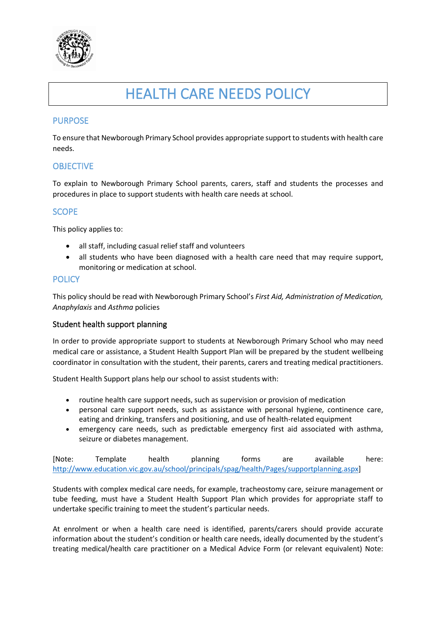

# HEALTH CARE NEEDS POLICY

## PURPOSE

To ensure that Newborough Primary School provides appropriate support to students with health care needs.

## **OBJECTIVE**

To explain to Newborough Primary School parents, carers, staff and students the processes and procedures in place to support students with health care needs at school.

### **SCOPE**

This policy applies to:

- all staff, including casual relief staff and volunteers
- all students who have been diagnosed with a health care need that may require support, monitoring or medication at school.

#### **POLICY**

This policy should be read with Newborough Primary School's *First Aid, Administration of Medication, Anaphylaxis* and *Asthma* policies

#### Student health support planning

In order to provide appropriate support to students at Newborough Primary School who may need medical care or assistance, a Student Health Support Plan will be prepared by the student wellbeing coordinator in consultation with the student, their parents, carers and treating medical practitioners.

Student Health Support plans help our school to assist students with:

- routine health care support needs, such as supervision or provision of medication
- personal care support needs, such as assistance with personal hygiene, continence care, eating and drinking, transfers and positioning, and use of health-related equipment
- emergency care needs, such as predictable emergency first aid associated with asthma, seizure or diabetes management.

[Note: Template health planning forms are available here: [http://www.education.vic.gov.au/school/principals/spag/health/Pages/supportplanning.aspx\]](http://www.education.vic.gov.au/school/principals/spag/health/Pages/supportplanning.aspx)

Students with complex medical care needs, for example, tracheostomy care, seizure management or tube feeding, must have a Student Health Support Plan which provides for appropriate staff to undertake specific training to meet the student's particular needs.

At enrolment or when a health care need is identified, parents/carers should provide accurate information about the student's condition or health care needs, ideally documented by the student's treating medical/health care practitioner on a Medical Advice Form (or relevant equivalent) Note: